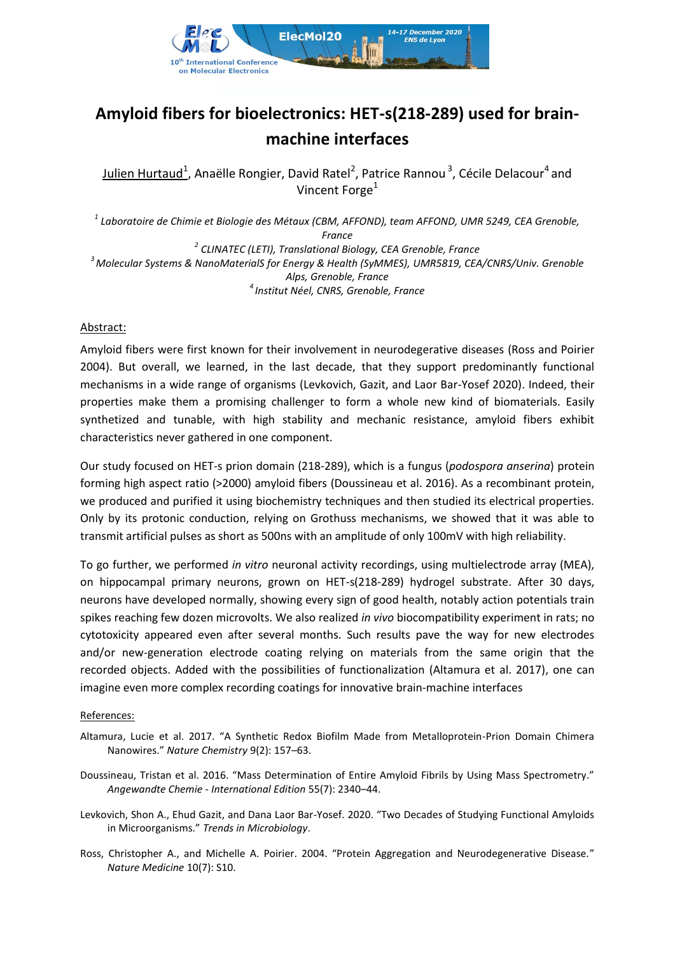

## **Amyloid fibers for bioelectronics: HET-s(218-289) used for brainmachine interfaces**

Julien Hurtaud<sup>1</sup>, Anaëlle Rongier, David Ratel<sup>2</sup>, Patrice Rannou<sup>3</sup>, Cécile Delacour<sup>4</sup> and Vincent Forge<sup>1</sup>

 *Laboratoire de Chimie et Biologie des Métaux (CBM, AFFOND), team AFFOND, UMR 5249, CEA Grenoble, France CLINATEC (LETI), Translational Biology, CEA Grenoble, France Molecular Systems & NanoMaterialS for Energy & Health (SyMMES), UMR5819, CEA/CNRS/Univ. Grenoble Alps, Grenoble, France Institut Néel, CNRS, Grenoble, France*

## Abstract:

Amyloid fibers were first known for their involvement in neurodegerative diseases (Ross and Poirier 2004). But overall, we learned, in the last decade, that they support predominantly functional mechanisms in a wide range of organisms (Levkovich, Gazit, and Laor Bar-Yosef 2020). Indeed, their properties make them a promising challenger to form a whole new kind of biomaterials. Easily synthetized and tunable, with high stability and mechanic resistance, amyloid fibers exhibit characteristics never gathered in one component.

Our study focused on HET-s prion domain (218-289), which is a fungus (*podospora anserina*) protein forming high aspect ratio (>2000) amyloid fibers (Doussineau et al. 2016). As a recombinant protein, we produced and purified it using biochemistry techniques and then studied its electrical properties. Only by its protonic conduction, relying on Grothuss mechanisms, we showed that it was able to transmit artificial pulses as short as 500ns with an amplitude of only 100mV with high reliability.

To go further, we performed *in vitro* neuronal activity recordings, using multielectrode array (MEA), on hippocampal primary neurons, grown on HET-s(218-289) hydrogel substrate. After 30 days, neurons have developed normally, showing every sign of good health, notably action potentials train spikes reaching few dozen microvolts. We also realized *in vivo* biocompatibility experiment in rats; no cytotoxicity appeared even after several months. Such results pave the way for new electrodes and/or new-generation electrode coating relying on materials from the same origin that the recorded objects. Added with the possibilities of functionalization (Altamura et al. 2017), one can imagine even more complex recording coatings for innovative brain-machine interfaces

## References:

- Altamura, Lucie et al. 2017. "A Synthetic Redox Biofilm Made from Metalloprotein-Prion Domain Chimera Nanowires." *Nature Chemistry* 9(2): 157–63.
- Doussineau, Tristan et al. 2016. "Mass Determination of Entire Amyloid Fibrils by Using Mass Spectrometry." *Angewandte Chemie - International Edition* 55(7): 2340–44.
- Levkovich, Shon A., Ehud Gazit, and Dana Laor Bar-Yosef. 2020. "Two Decades of Studying Functional Amyloids in Microorganisms." *Trends in Microbiology*.
- Ross, Christopher A., and Michelle A. Poirier. 2004. "Protein Aggregation and Neurodegenerative Disease." *Nature Medicine* 10(7): S10.